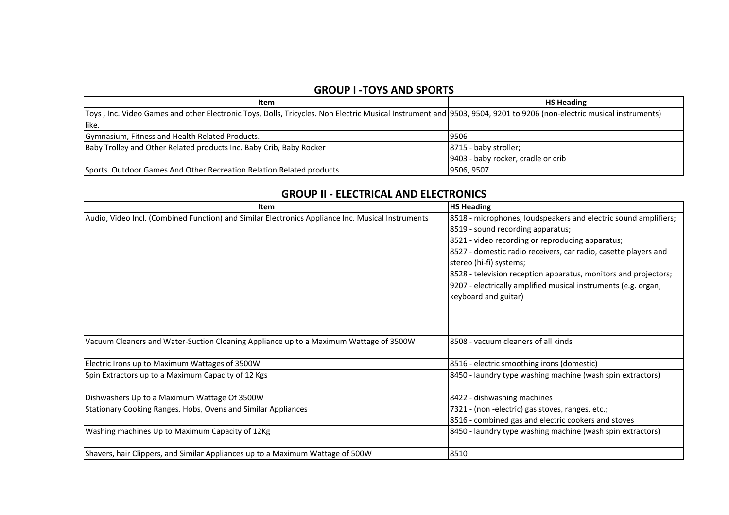### **GROUP I -TOYS AND SPORTS**

| Item                                                                                                                                                                  | <b>HS Heading</b>                  |
|-----------------------------------------------------------------------------------------------------------------------------------------------------------------------|------------------------------------|
| (Toys, Inc. Video Games and other Electronic Toys, Dolls, Tricycles. Non Electric Musical Instrument and (9503, 9504, 9201 to 9206 (non-electric musical instruments) |                                    |
| like.                                                                                                                                                                 |                                    |
| Gymnasium, Fitness and Health Related Products.                                                                                                                       | 9506                               |
| Baby Trolley and Other Related products Inc. Baby Crib, Baby Rocker                                                                                                   | 8715 - baby stroller;              |
|                                                                                                                                                                       | 9403 - baby rocker, cradle or crib |
| Sports. Outdoor Games And Other Recreation Relation Related products                                                                                                  | 9506, 9507                         |

# **GROUP II - ELECTRICAL AND ELECTRONICS**

| <b>Item</b>                                                                                       | <b>HS Heading</b>                                               |
|---------------------------------------------------------------------------------------------------|-----------------------------------------------------------------|
| Audio, Video Incl. (Combined Function) and Similar Electronics Appliance Inc. Musical Instruments | 8518 - microphones, loudspeakers and electric sound amplifiers; |
|                                                                                                   | 8519 - sound recording apparatus;                               |
|                                                                                                   | 8521 - video recording or reproducing apparatus;                |
|                                                                                                   | 8527 - domestic radio receivers, car radio, casette players and |
|                                                                                                   | stereo (hi-fi) systems;                                         |
|                                                                                                   | 8528 - television reception apparatus, monitors and projectors; |
|                                                                                                   | 9207 - electrically amplified musical instruments (e.g. organ,  |
|                                                                                                   | keyboard and guitar)                                            |
|                                                                                                   |                                                                 |
|                                                                                                   |                                                                 |
|                                                                                                   |                                                                 |
| Vacuum Cleaners and Water-Suction Cleaning Appliance up to a Maximum Wattage of 3500W             | 8508 - vacuum cleaners of all kinds                             |
|                                                                                                   |                                                                 |
| Electric Irons up to Maximum Wattages of 3500W                                                    | 8516 - electric smoothing irons (domestic)                      |
| Spin Extractors up to a Maximum Capacity of 12 Kgs                                                | 8450 - laundry type washing machine (wash spin extractors)      |
| Dishwashers Up to a Maximum Wattage Of 3500W                                                      | 8422 - dishwashing machines                                     |
| Stationary Cooking Ranges, Hobs, Ovens and Similar Appliances                                     | 7321 - (non -electric) gas stoves, ranges, etc.;                |
|                                                                                                   | 8516 - combined gas and electric cookers and stoves             |
| Washing machines Up to Maximum Capacity of 12Kg                                                   | 8450 - laundry type washing machine (wash spin extractors)      |
|                                                                                                   |                                                                 |
| Shavers, hair Clippers, and Similar Appliances up to a Maximum Wattage of 500W                    | 8510                                                            |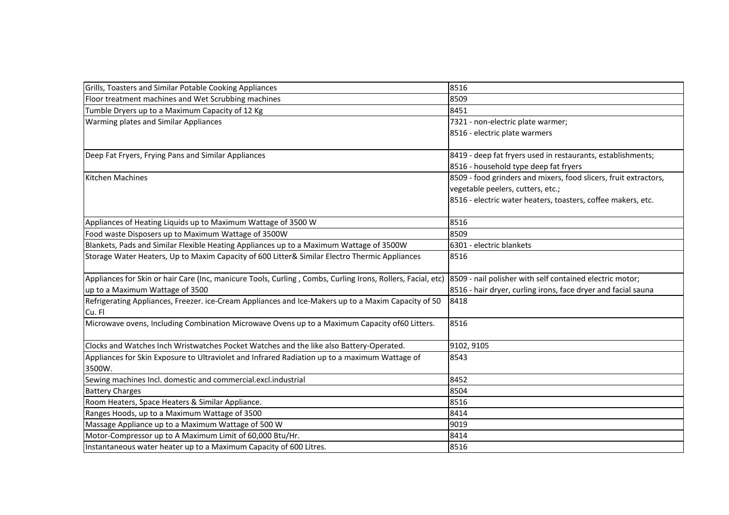| Grills, Toasters and Similar Potable Cooking Appliances                                                       | 8516                                                             |
|---------------------------------------------------------------------------------------------------------------|------------------------------------------------------------------|
| Floor treatment machines and Wet Scrubbing machines                                                           | 8509                                                             |
| Tumble Dryers up to a Maximum Capacity of 12 Kg                                                               | 8451                                                             |
| Warming plates and Similar Appliances                                                                         | 7321 - non-electric plate warmer;                                |
|                                                                                                               | 8516 - electric plate warmers                                    |
|                                                                                                               |                                                                  |
| Deep Fat Fryers, Frying Pans and Similar Appliances                                                           | 8419 - deep fat fryers used in restaurants, establishments;      |
|                                                                                                               | 8516 - household type deep fat fryers                            |
| Kitchen Machines                                                                                              | 8509 - food grinders and mixers, food slicers, fruit extractors, |
|                                                                                                               | vegetable peelers, cutters, etc.;                                |
|                                                                                                               | 8516 - electric water heaters, toasters, coffee makers, etc.     |
| Appliances of Heating Liquids up to Maximum Wattage of 3500 W                                                 | 8516                                                             |
| Food waste Disposers up to Maximum Wattage of 3500W                                                           | 8509                                                             |
| Blankets, Pads and Similar Flexible Heating Appliances up to a Maximum Wattage of 3500W                       | 6301 - electric blankets                                         |
| Storage Water Heaters, Up to Maxim Capacity of 600 Litter& Similar Electro Thermic Appliances                 | 8516                                                             |
| Appliances for Skin or hair Care (Inc, manicure Tools, Curling, Combs, Curling Irons, Rollers, Facial, etc)   | 8509 - nail polisher with self contained electric motor;         |
| up to a Maximum Wattage of 3500                                                                               | 8516 - hair dryer, curling irons, face dryer and facial sauna    |
| Refrigerating Appliances, Freezer. ice-Cream Appliances and Ice-Makers up to a Maxim Capacity of 50<br>Cu. Fl | 8418                                                             |
| Microwave ovens, Including Combination Microwave Ovens up to a Maximum Capacity of 60 Litters.                | 8516                                                             |
| Clocks and Watches Inch Wristwatches Pocket Watches and the like also Battery-Operated.                       | 9102, 9105                                                       |
| Appliances for Skin Exposure to Ultraviolet and Infrared Radiation up to a maximum Wattage of                 | 8543                                                             |
| 3500W.                                                                                                        |                                                                  |
| Sewing machines Incl. domestic and commercial.excl.industrial                                                 | 8452                                                             |
| <b>Battery Charges</b>                                                                                        | 8504                                                             |
| Room Heaters, Space Heaters & Similar Appliance.                                                              | 8516                                                             |
| Ranges Hoods, up to a Maximum Wattage of 3500                                                                 | 8414                                                             |
| Massage Appliance up to a Maximum Wattage of 500 W                                                            | 9019                                                             |
| Motor-Compressor up to A Maximum Limit of 60,000 Btu/Hr.                                                      | 8414                                                             |
| Instantaneous water heater up to a Maximum Capacity of 600 Litres.                                            | 8516                                                             |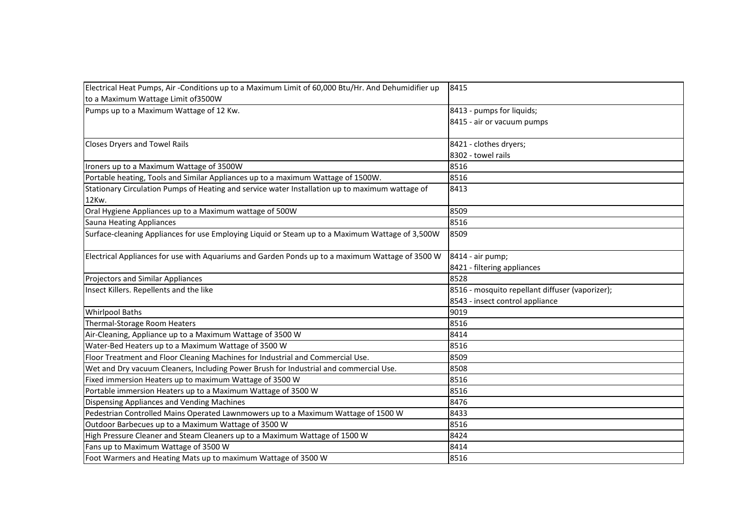| Electrical Heat Pumps, Air-Conditions up to a Maximum Limit of 60,000 Btu/Hr. And Dehumidifier up | 8415                                            |
|---------------------------------------------------------------------------------------------------|-------------------------------------------------|
| to a Maximum Wattage Limit of 3500W                                                               |                                                 |
| Pumps up to a Maximum Wattage of 12 Kw.                                                           | 8413 - pumps for liquids;                       |
|                                                                                                   | 8415 - air or vacuum pumps                      |
| <b>Closes Dryers and Towel Rails</b>                                                              | 8421 - clothes dryers;                          |
|                                                                                                   | 8302 - towel rails                              |
| Ironers up to a Maximum Wattage of 3500W                                                          | 8516                                            |
| Portable heating, Tools and Similar Appliances up to a maximum Wattage of 1500W.                  | 8516                                            |
| Stationary Circulation Pumps of Heating and service water Installation up to maximum wattage of   | 8413                                            |
| 12Kw.                                                                                             |                                                 |
| Oral Hygiene Appliances up to a Maximum wattage of 500W                                           | 8509                                            |
| <b>Sauna Heating Appliances</b>                                                                   | 8516                                            |
| Surface-cleaning Appliances for use Employing Liquid or Steam up to a Maximum Wattage of 3,500W   | 8509                                            |
| Electrical Appliances for use with Aquariums and Garden Ponds up to a maximum Wattage of 3500 W   | 8414 - air pump;                                |
|                                                                                                   | 8421 - filtering appliances                     |
| <b>Projectors and Similar Appliances</b>                                                          | 8528                                            |
| Insect Killers. Repellents and the like                                                           | 8516 - mosquito repellant diffuser (vaporizer); |
|                                                                                                   | 8543 - insect control appliance                 |
| <b>Whirlpool Baths</b>                                                                            | 9019                                            |
| Thermal-Storage Room Heaters                                                                      | 8516                                            |
| Air-Cleaning, Appliance up to a Maximum Wattage of 3500 W                                         | 8414                                            |
| Water-Bed Heaters up to a Maximum Wattage of 3500 W                                               | 8516                                            |
| Floor Treatment and Floor Cleaning Machines for Industrial and Commercial Use.                    | 8509                                            |
| Wet and Dry vacuum Cleaners, Including Power Brush for Industrial and commercial Use.             | 8508                                            |
| Fixed immersion Heaters up to maximum Wattage of 3500 W                                           | 8516                                            |
| Portable immersion Heaters up to a Maximum Wattage of 3500 W                                      | 8516                                            |
| Dispensing Appliances and Vending Machines                                                        | 8476                                            |
| Pedestrian Controlled Mains Operated Lawnmowers up to a Maximum Wattage of 1500 W                 | 8433                                            |
| Outdoor Barbecues up to a Maximum Wattage of 3500 W                                               | 8516                                            |
| High Pressure Cleaner and Steam Cleaners up to a Maximum Wattage of 1500 W                        | 8424                                            |
| Fans up to Maximum Wattage of 3500 W                                                              | 8414                                            |
| Foot Warmers and Heating Mats up to maximum Wattage of 3500 W                                     | 8516                                            |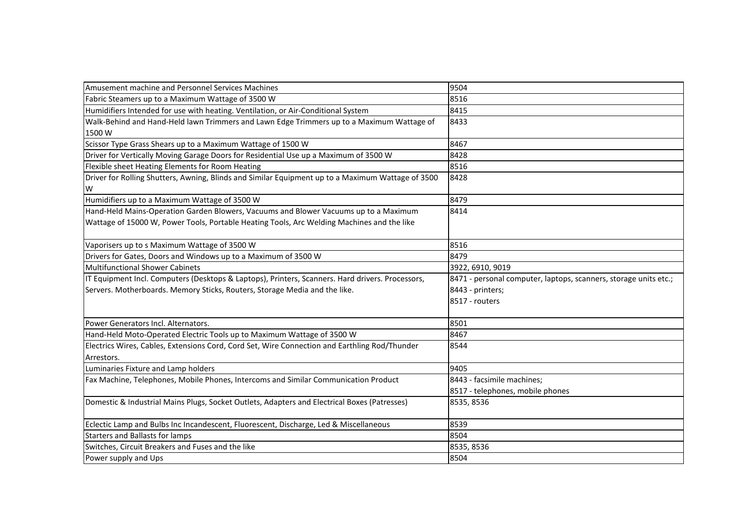| Amusement machine and Personnel Services Machines                                                 | 9504                                                             |
|---------------------------------------------------------------------------------------------------|------------------------------------------------------------------|
| Fabric Steamers up to a Maximum Wattage of 3500 W                                                 | 8516                                                             |
| Humidifiers Intended for use with heating. Ventilation, or Air-Conditional System                 | 8415                                                             |
| Walk-Behind and Hand-Held lawn Trimmers and Lawn Edge Trimmers up to a Maximum Wattage of         | 8433                                                             |
| 1500W                                                                                             |                                                                  |
| Scissor Type Grass Shears up to a Maximum Wattage of 1500 W                                       | 8467                                                             |
| Driver for Vertically Moving Garage Doors for Residential Use up a Maximum of 3500 W              | 8428                                                             |
| Flexible sheet Heating Elements for Room Heating                                                  | 8516                                                             |
| Driver for Rolling Shutters, Awning, Blinds and Similar Equipment up to a Maximum Wattage of 3500 | 8428                                                             |
| W                                                                                                 |                                                                  |
| Humidifiers up to a Maximum Wattage of 3500 W                                                     | 8479                                                             |
| Hand-Held Mains-Operation Garden Blowers, Vacuums and Blower Vacuums up to a Maximum              | 8414                                                             |
| Wattage of 15000 W, Power Tools, Portable Heating Tools, Arc Welding Machines and the like        |                                                                  |
|                                                                                                   |                                                                  |
| Vaporisers up to s Maximum Wattage of 3500 W                                                      | 8516                                                             |
| Drivers for Gates, Doors and Windows up to a Maximum of 3500 W                                    | 8479                                                             |
| <b>Multifunctional Shower Cabinets</b>                                                            | 3922, 6910, 9019                                                 |
| IT Equipment Incl. Computers (Desktops & Laptops), Printers, Scanners. Hard drivers. Processors,  | 8471 - personal computer, laptops, scanners, storage units etc.; |
| Servers. Motherboards. Memory Sticks, Routers, Storage Media and the like.                        | 8443 - printers;                                                 |
|                                                                                                   | 8517 - routers                                                   |
|                                                                                                   |                                                                  |
| Power Generators Incl. Alternators.                                                               | 8501                                                             |
| Hand-Held Moto-Operated Electric Tools up to Maximum Wattage of 3500 W                            | 8467                                                             |
| Electrics Wires, Cables, Extensions Cord, Cord Set, Wire Connection and Earthling Rod/Thunder     | 8544                                                             |
| Arrestors.                                                                                        |                                                                  |
| Luminaries Fixture and Lamp holders                                                               | 9405                                                             |
| Fax Machine, Telephones, Mobile Phones, Intercoms and Similar Communication Product               | 8443 - facsimile machines;                                       |
|                                                                                                   | 8517 - telephones, mobile phones                                 |
| Domestic & Industrial Mains Plugs, Socket Outlets, Adapters and Electrical Boxes (Patresses)      | 8535, 8536                                                       |
| Eclectic Lamp and Bulbs Inc Incandescent, Fluorescent, Discharge, Led & Miscellaneous             | 8539                                                             |
| <b>Starters and Ballasts for lamps</b>                                                            | 8504                                                             |
| Switches, Circuit Breakers and Fuses and the like                                                 | 8535, 8536                                                       |
| Power supply and Ups                                                                              | 8504                                                             |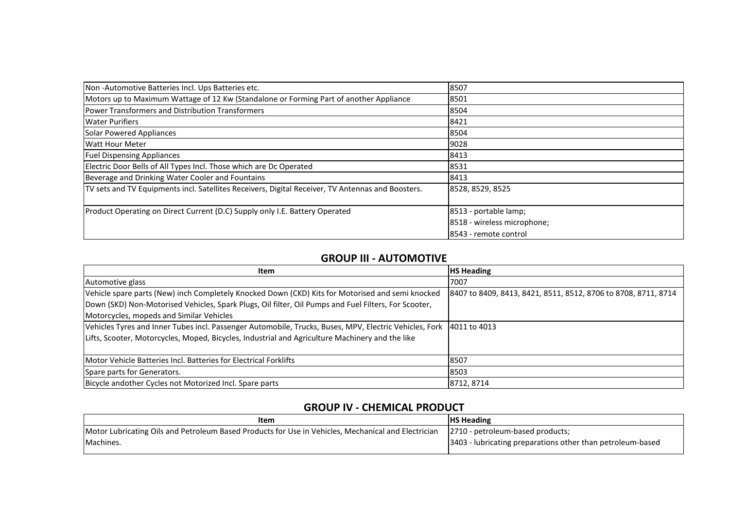| Non-Automotive Batteries Incl. Ups Batteries etc.                                                 | 8507                        |
|---------------------------------------------------------------------------------------------------|-----------------------------|
| Motors up to Maximum Wattage of 12 Kw (Standalone or Forming Part of another Appliance            | 8501                        |
| Power Transformers and Distribution Transformers                                                  | 8504                        |
| <b>Water Purifiers</b>                                                                            | 8421                        |
| Solar Powered Appliances                                                                          | 8504                        |
| <b>Watt Hour Meter</b>                                                                            | 9028                        |
| <b>Fuel Dispensing Appliances</b>                                                                 | 8413                        |
| Electric Door Bells of All Types Incl. Those which are Dc Operated                                | 8531                        |
| Beverage and Drinking Water Cooler and Fountains                                                  | 8413                        |
| TV sets and TV Equipments incl. Satellites Receivers, Digital Receiver, TV Antennas and Boosters. | 8528, 8529, 8525            |
| Product Operating on Direct Current (D.C) Supply only I.E. Battery Operated                       | 8513 - portable lamp;       |
|                                                                                                   | 8518 - wireless microphone; |
|                                                                                                   | 8543 - remote control       |

#### **GROUP III - AUTOMOTIVE**

| <b>Item</b>                                                                                                         | <b>HS Heading</b>                                              |
|---------------------------------------------------------------------------------------------------------------------|----------------------------------------------------------------|
| Automotive glass                                                                                                    | 7007                                                           |
| Vehicle spare parts (New) inch Completely Knocked Down (CKD) Kits for Motorised and semi knocked                    | 8407 to 8409, 8413, 8421, 8511, 8512, 8706 to 8708, 8711, 8714 |
| Down (SKD) Non-Motorised Vehicles, Spark Plugs, Oil filter, Oil Pumps and Fuel Filters, For Scooter,                |                                                                |
| Motorcycles, mopeds and Similar Vehicles                                                                            |                                                                |
| Vehicles Tyres and Inner Tubes incl. Passenger Automobile, Trucks, Buses, MPV, Electric Vehicles, Fork 4011 to 4013 |                                                                |
| Lifts, Scooter, Motorcycles, Moped, Bicycles, Industrial and Agriculture Machinery and the like                     |                                                                |
|                                                                                                                     |                                                                |
| Motor Vehicle Batteries Incl. Batteries for Electrical Forklifts                                                    | 8507                                                           |
| Spare parts for Generators.                                                                                         | 8503                                                           |
| Bicycle andother Cycles not Motorized Incl. Spare parts                                                             | 8712, 8714                                                     |

## **GROUP IV - CHEMICAL PRODUCT**

| Item                                                                                                                                 | <b>IHS Heading</b>                                          |
|--------------------------------------------------------------------------------------------------------------------------------------|-------------------------------------------------------------|
| Motor Lubricating Oils and Petroleum Based Products for Use in Vehicles, Mechanical and Electrician 2710 - petroleum-based products; |                                                             |
| Machines.                                                                                                                            | [3403 - lubricating preparations other than petroleum-based |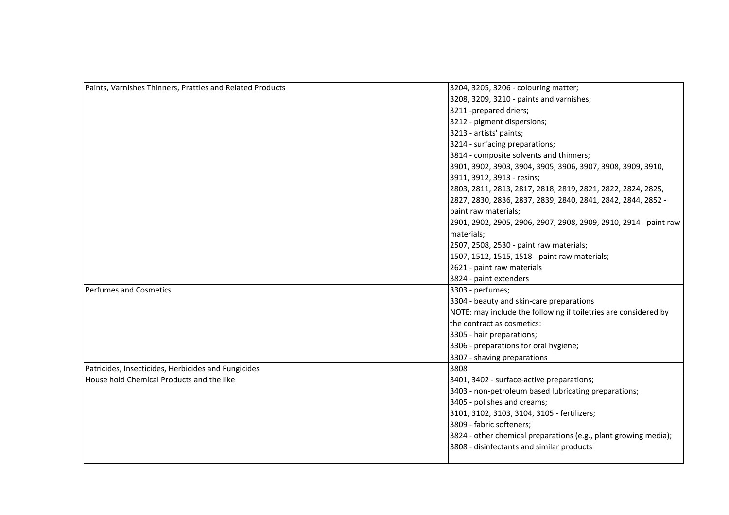| Paints, Varnishes Thinners, Prattles and Related Products | 3204, 3205, 3206 - colouring matter;                             |
|-----------------------------------------------------------|------------------------------------------------------------------|
|                                                           | 3208, 3209, 3210 - paints and varnishes;                         |
|                                                           | 3211 -prepared driers;                                           |
|                                                           | 3212 - pigment dispersions;                                      |
|                                                           | 3213 - artists' paints;                                          |
|                                                           | 3214 - surfacing preparations;                                   |
|                                                           | 3814 - composite solvents and thinners;                          |
|                                                           | 3901, 3902, 3903, 3904, 3905, 3906, 3907, 3908, 3909, 3910,      |
|                                                           | 3911, 3912, 3913 - resins;                                       |
|                                                           | 2803, 2811, 2813, 2817, 2818, 2819, 2821, 2822, 2824, 2825,      |
|                                                           | 2827, 2830, 2836, 2837, 2839, 2840, 2841, 2842, 2844, 2852 -     |
|                                                           | paint raw materials;                                             |
|                                                           | 2901, 2902, 2905, 2906, 2907, 2908, 2909, 2910, 2914 - paint raw |
|                                                           | materials;                                                       |
|                                                           | 2507, 2508, 2530 - paint raw materials;                          |
|                                                           | 1507, 1512, 1515, 1518 - paint raw materials;                    |
|                                                           | 2621 - paint raw materials                                       |
|                                                           | 3824 - paint extenders                                           |
| Perfumes and Cosmetics                                    | 3303 - perfumes;                                                 |
|                                                           | 3304 - beauty and skin-care preparations                         |
|                                                           | NOTE: may include the following if toiletries are considered by  |
|                                                           | the contract as cosmetics:                                       |
|                                                           | 3305 - hair preparations;                                        |
|                                                           | 3306 - preparations for oral hygiene;                            |
|                                                           | 3307 - shaving preparations                                      |
| Patricides, Insecticides, Herbicides and Fungicides       | 3808                                                             |
| House hold Chemical Products and the like                 | 3401, 3402 - surface-active preparations;                        |
|                                                           | 3403 - non-petroleum based lubricating preparations;             |
|                                                           | 3405 - polishes and creams;                                      |
|                                                           | 3101, 3102, 3103, 3104, 3105 - fertilizers;                      |
|                                                           | 3809 - fabric softeners;                                         |
|                                                           | 3824 - other chemical preparations (e.g., plant growing media);  |
|                                                           | 3808 - disinfectants and similar products                        |
|                                                           |                                                                  |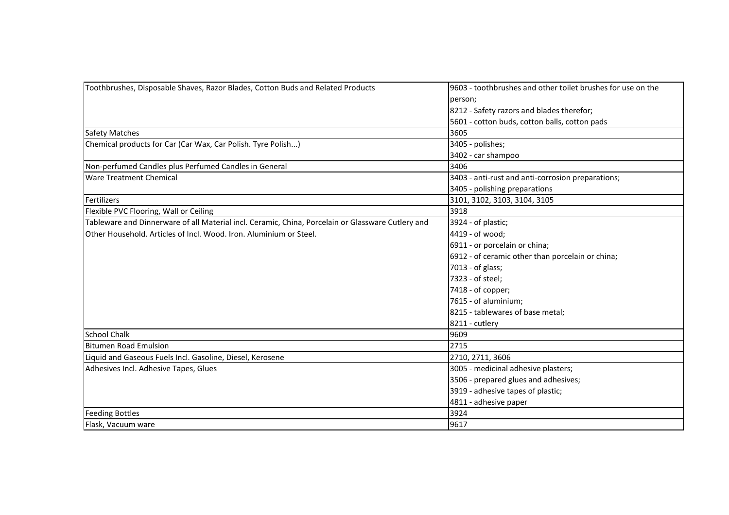| Toothbrushes, Disposable Shaves, Razor Blades, Cotton Buds and Related Products                   | 9603 - toothbrushes and other toilet brushes for use on the |
|---------------------------------------------------------------------------------------------------|-------------------------------------------------------------|
|                                                                                                   | person;                                                     |
|                                                                                                   | 8212 - Safety razors and blades therefor;                   |
|                                                                                                   | 5601 - cotton buds, cotton balls, cotton pads               |
| <b>Safety Matches</b>                                                                             | 3605                                                        |
| Chemical products for Car (Car Wax, Car Polish. Tyre Polish)                                      | 3405 - polishes;                                            |
|                                                                                                   | 3402 - car shampoo                                          |
| Non-perfumed Candles plus Perfumed Candles in General                                             | 3406                                                        |
| <b>Ware Treatment Chemical</b>                                                                    | 3403 - anti-rust and anti-corrosion preparations;           |
|                                                                                                   | 3405 - polishing preparations                               |
| Fertilizers                                                                                       | 3101, 3102, 3103, 3104, 3105                                |
| Flexible PVC Flooring, Wall or Ceiling                                                            | 3918                                                        |
| Tableware and Dinnerware of all Material incl. Ceramic, China, Porcelain or Glassware Cutlery and | 3924 - of plastic;                                          |
| <b>O</b> ther Household. Articles of Incl. Wood. Iron. Aluminium or Steel.                        | 4419 - of wood;                                             |
|                                                                                                   | 6911 - or porcelain or china;                               |
|                                                                                                   | 6912 - of ceramic other than porcelain or china;            |
|                                                                                                   | 7013 - of glass;                                            |
|                                                                                                   | 7323 - of steel;                                            |
|                                                                                                   | 7418 - of copper;                                           |
|                                                                                                   | 7615 - of aluminium;                                        |
|                                                                                                   | 8215 - tablewares of base metal;                            |
|                                                                                                   | 8211 - cutlery                                              |
| <b>School Chalk</b>                                                                               | 9609                                                        |
| <b>Bitumen Road Emulsion</b>                                                                      | 2715                                                        |
| Liquid and Gaseous Fuels Incl. Gasoline, Diesel, Kerosene                                         | 2710, 2711, 3606                                            |
| Adhesives Incl. Adhesive Tapes, Glues                                                             | 3005 - medicinal adhesive plasters;                         |
|                                                                                                   | 3506 - prepared glues and adhesives;                        |
|                                                                                                   | 3919 - adhesive tapes of plastic;                           |
|                                                                                                   | 4811 - adhesive paper                                       |
| <b>Feeding Bottles</b>                                                                            | 3924                                                        |
| Flask, Vacuum ware                                                                                | 9617                                                        |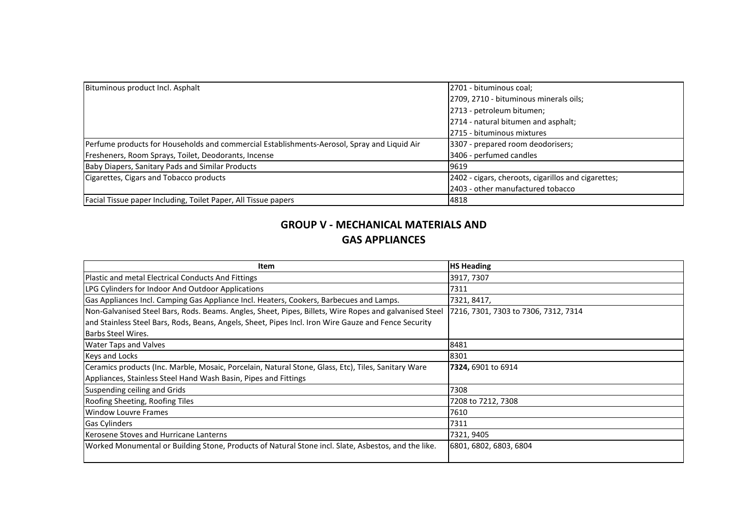| Bituminous product Incl. Asphalt                                                            | 2701 - bituminous coal;                             |
|---------------------------------------------------------------------------------------------|-----------------------------------------------------|
|                                                                                             | [2709, 2710 - bituminous minerals oils;             |
|                                                                                             | 2713 - petroleum bitumen;                           |
|                                                                                             | 2714 - natural bitumen and asphalt;                 |
|                                                                                             | 2715 - bituminous mixtures                          |
| Perfume products for Households and commercial Establishments-Aerosol, Spray and Liquid Air | 3307 - prepared room deodorisers;                   |
| Fresheners, Room Sprays, Toilet, Deodorants, Incense                                        | 3406 - perfumed candles                             |
| Baby Diapers, Sanitary Pads and Similar Products                                            | 9619                                                |
| Cigarettes, Cigars and Tobacco products                                                     | 2402 - cigars, cheroots, cigarillos and cigarettes; |
|                                                                                             | 2403 - other manufactured tobacco                   |
| Facial Tissue paper Including, Toilet Paper, All Tissue papers                              | 4818                                                |

# **GROUP V - MECHANICAL MATERIALS AND GAS APPLIANCES**

| <b>Item</b>                                                                                            | <b>HS Heading</b>                    |
|--------------------------------------------------------------------------------------------------------|--------------------------------------|
| Plastic and metal Electrical Conducts And Fittings                                                     | 3917, 7307                           |
| LPG Cylinders for Indoor And Outdoor Applications                                                      | 7311                                 |
| Gas Appliances Incl. Camping Gas Appliance Incl. Heaters, Cookers, Barbecues and Lamps.                | 7321, 8417,                          |
| Non-Galvanised Steel Bars, Rods. Beams. Angles, Sheet, Pipes, Billets, Wire Ropes and galvanised Steel | 7216, 7301, 7303 to 7306, 7312, 7314 |
| and Stainless Steel Bars, Rods, Beans, Angels, Sheet, Pipes Incl. Iron Wire Gauze and Fence Security   |                                      |
| <b>Barbs Steel Wires.</b>                                                                              |                                      |
| <b>Water Taps and Valves</b>                                                                           | 8481                                 |
| Keys and Locks                                                                                         | 8301                                 |
| Ceramics products (Inc. Marble, Mosaic, Porcelain, Natural Stone, Glass, Etc), Tiles, Sanitary Ware    | 7324, 6901 to 6914                   |
| Appliances, Stainless Steel Hand Wash Basin, Pipes and Fittings                                        |                                      |
| Suspending ceiling and Grids                                                                           | 7308                                 |
| Roofing Sheeting, Roofing Tiles                                                                        | 7208 to 7212, 7308                   |
| <b>Window Louvre Frames</b>                                                                            | 7610                                 |
| <b>Gas Cylinders</b>                                                                                   | 7311                                 |
| Kerosene Stoves and Hurricane Lanterns                                                                 | 7321, 9405                           |
| Worked Monumental or Building Stone, Products of Natural Stone incl. Slate, Asbestos, and the like.    | 6801, 6802, 6803, 6804               |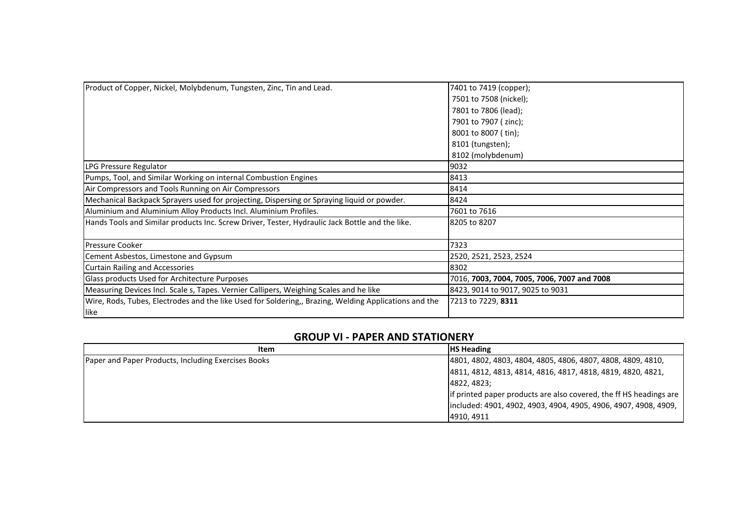| Product of Copper, Nickel, Molybdenum, Tungsten, Zinc, Tin and Lead.                                  | 7401 to 7419 (copper);<br>7501 to 7508 (nickel);<br>7801 to 7806 (lead); |
|-------------------------------------------------------------------------------------------------------|--------------------------------------------------------------------------|
|                                                                                                       | 7901 to 7907 ( zinc);                                                    |
|                                                                                                       | 8001 to 8007 (tin);                                                      |
|                                                                                                       | 8101 (tungsten);                                                         |
|                                                                                                       | 8102 (molybdenum)                                                        |
| LPG Pressure Regulator                                                                                | 9032                                                                     |
| Pumps, Tool, and Similar Working on internal Combustion Engines                                       | 8413                                                                     |
| Air Compressors and Tools Running on Air Compressors                                                  | 8414                                                                     |
| Mechanical Backpack Sprayers used for projecting, Dispersing or Spraying liquid or powder.            | 8424                                                                     |
| Aluminium and Aluminium Alloy Products Incl. Aluminium Profiles.                                      | 7601 to 7616                                                             |
| Hands Tools and Similar products Inc. Screw Driver, Tester, Hydraulic Jack Bottle and the like.       | 8205 to 8207                                                             |
| <b>Pressure Cooker</b>                                                                                | 7323                                                                     |
| Cement Asbestos, Limestone and Gypsum                                                                 | 2520, 2521, 2523, 2524                                                   |
| Curtain Railing and Accessories                                                                       | 8302                                                                     |
| Glass products Used for Architecture Purposes                                                         | 7016, 7003, 7004, 7005, 7006, 7007 and 7008                              |
| Measuring Devices Incl. Scale s, Tapes. Vernier Callipers, Weighing Scales and he like                | 8423, 9014 to 9017, 9025 to 9031                                         |
| Wire, Rods, Tubes, Electrodes and the like Used for Soldering,, Brazing, Welding Applications and the | 7213 to 7229, 8311                                                       |
| like                                                                                                  |                                                                          |

### **GROUP VI - PAPER AND STATIONERY**

| Item                                                | <b>HS Heading</b>                                                  |
|-----------------------------------------------------|--------------------------------------------------------------------|
| Paper and Paper Products, Including Exercises Books | 4801, 4802, 4803, 4804, 4805, 4806, 4807, 4808, 4809, 4810,        |
|                                                     | 4811, 4812, 4813, 4814, 4816, 4817, 4818, 4819, 4820, 4821,        |
|                                                     | 4822, 4823;                                                        |
|                                                     | If printed paper products are also covered, the ff HS headings are |
|                                                     | lincluded: 4901, 4902, 4903, 4904, 4905, 4906, 4907, 4908, 4909,   |
|                                                     | 4910, 4911                                                         |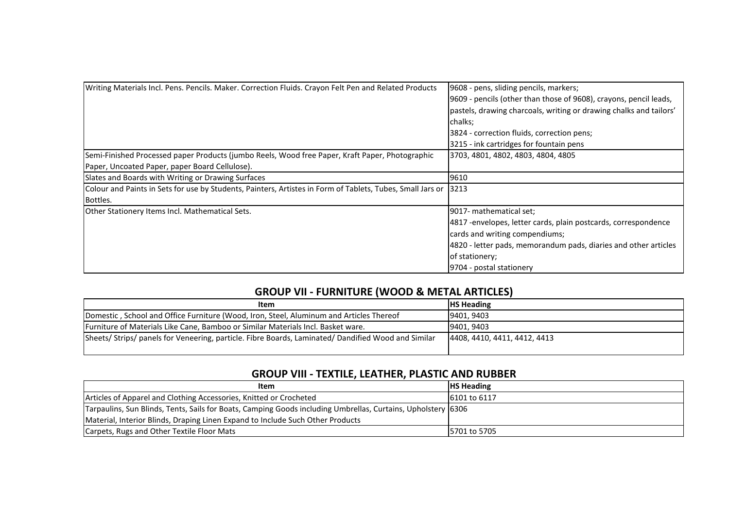| Writing Materials Incl. Pens. Pencils. Maker. Correction Fluids. Crayon Felt Pen and Related Products      | 9608 - pens, sliding pencils, markers;                             |
|------------------------------------------------------------------------------------------------------------|--------------------------------------------------------------------|
|                                                                                                            | [9609 - pencils (other than those of 9608), crayons, pencil leads, |
|                                                                                                            | pastels, drawing charcoals, writing or drawing chalks and tailors' |
|                                                                                                            | chalks;                                                            |
|                                                                                                            | 3824 - correction fluids, correction pens;                         |
|                                                                                                            | 3215 - ink cartridges for fountain pens                            |
| Semi-Finished Processed paper Products (jumbo Reels, Wood free Paper, Kraft Paper, Photographic            | 3703, 4801, 4802, 4803, 4804, 4805                                 |
| Paper, Uncoated Paper, paper Board Cellulose).                                                             |                                                                    |
| Slates and Boards with Writing or Drawing Surfaces                                                         | 9610                                                               |
| Colour and Paints in Sets for use by Students, Painters, Artistes in Form of Tablets, Tubes, Small Jars or | 3213                                                               |
| Bottles.                                                                                                   |                                                                    |
| Other Stationery Items Incl. Mathematical Sets.                                                            | [9017- mathematical set;                                           |
|                                                                                                            | 4817 - envelopes, letter cards, plain postcards, correspondence    |
|                                                                                                            | cards and writing compendiums;                                     |
|                                                                                                            | 4820 - letter pads, memorandum pads, diaries and other articles    |
|                                                                                                            | of stationery;                                                     |
|                                                                                                            | 9704 - postal stationery                                           |

# **GROUP VII - FURNITURE (WOOD & METAL ARTICLES)**

| <b>HS Heading</b>            |
|------------------------------|
| 9401, 9403                   |
| 9401, 9403                   |
| 4408, 4410, 4411, 4412, 4413 |
|                              |

### **GROUP VIII - TEXTILE, LEATHER, PLASTIC AND RUBBER**

| Item                                                                                                         | <b>HS Heading</b>    |
|--------------------------------------------------------------------------------------------------------------|----------------------|
| Articles of Apparel and Clothing Accessories, Knitted or Crocheted                                           | <b>16101 to 6117</b> |
| Tarpaulins, Sun Blinds, Tents, Sails for Boats, Camping Goods including Umbrellas, Curtains, Upholstery 6306 |                      |
| Material, Interior Blinds, Draping Linen Expand to Include Such Other Products                               |                      |
| Carpets, Rugs and Other Textile Floor Mats                                                                   | 5701 to 5705         |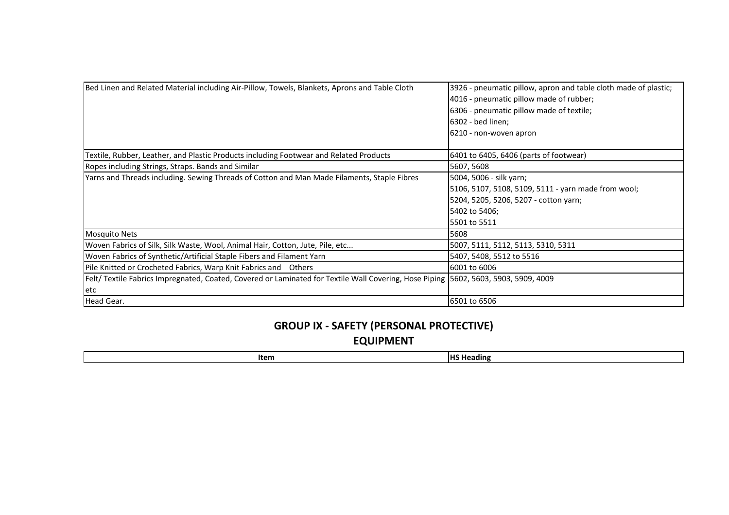| Bed Linen and Related Material including Air-Pillow, Towels, Blankets, Aprons and Table Cloth                                       | 3926 - pneumatic pillow, apron and table cloth made of plastic;<br>4016 - pneumatic pillow made of rubber;<br>6306 - pneumatic pillow made of textile;<br>6302 - bed linen; |
|-------------------------------------------------------------------------------------------------------------------------------------|-----------------------------------------------------------------------------------------------------------------------------------------------------------------------------|
|                                                                                                                                     | 6210 - non-woven apron                                                                                                                                                      |
| Textile, Rubber, Leather, and Plastic Products including Footwear and Related Products                                              | 6401 to 6405, 6406 (parts of footwear)                                                                                                                                      |
| Ropes including Strings, Straps. Bands and Similar                                                                                  | 5607, 5608                                                                                                                                                                  |
| Yarns and Threads including. Sewing Threads of Cotton and Man Made Filaments, Staple Fibres                                         | 5004, 5006 - silk yarn;                                                                                                                                                     |
|                                                                                                                                     | 5106, 5107, 5108, 5109, 5111 - yarn made from wool;                                                                                                                         |
|                                                                                                                                     | 5204, 5205, 5206, 5207 - cotton yarn;                                                                                                                                       |
|                                                                                                                                     | 5402 to 5406;                                                                                                                                                               |
|                                                                                                                                     | 5501 to 5511                                                                                                                                                                |
| <b>Mosquito Nets</b>                                                                                                                | 5608                                                                                                                                                                        |
| Woven Fabrics of Silk, Silk Waste, Wool, Animal Hair, Cotton, Jute, Pile, etc                                                       | 5007, 5111, 5112, 5113, 5310, 5311                                                                                                                                          |
| Woven Fabrics of Synthetic/Artificial Staple Fibers and Filament Yarn                                                               | 5407, 5408, 5512 to 5516                                                                                                                                                    |
| Pile Knitted or Crocheted Fabrics, Warp Knit Fabrics and Others                                                                     | 6001 to 6006                                                                                                                                                                |
| Felt/ Textile Fabrics Impregnated, Coated, Covered or Laminated for Textile Wall Covering, Hose Piping 5602, 5603, 5903, 5909, 4009 |                                                                                                                                                                             |
| letc                                                                                                                                |                                                                                                                                                                             |
| Head Gear.                                                                                                                          | 6501 to 6506                                                                                                                                                                |

# **GROUP IX - SAFETY (PERSONAL PROTECTIVE) EQUIPMENT**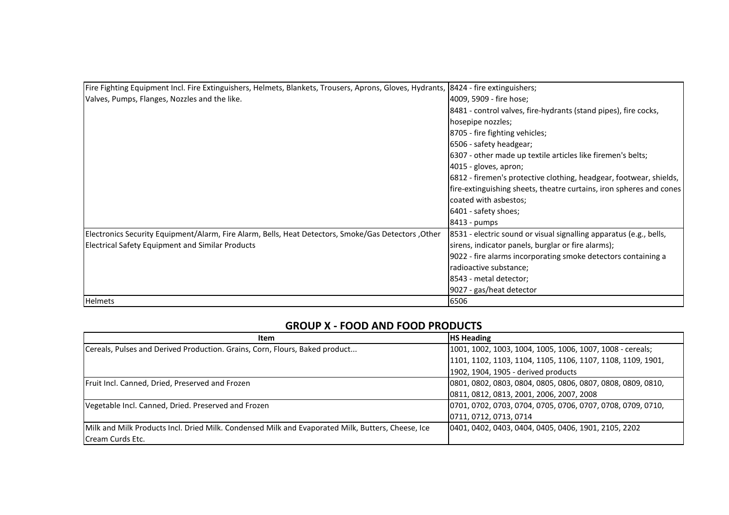| Fire Fighting Equipment Incl. Fire Extinguishers, Helmets, Blankets, Trousers, Aprons, Gloves, Hydrants, 18424 - fire extinguishers; |                                                                     |
|--------------------------------------------------------------------------------------------------------------------------------------|---------------------------------------------------------------------|
| Valves, Pumps, Flanges, Nozzles and the like.                                                                                        | 4009, 5909 - fire hose;                                             |
|                                                                                                                                      | 8481 - control valves, fire-hydrants (stand pipes), fire cocks,     |
|                                                                                                                                      | hosepipe nozzles;                                                   |
|                                                                                                                                      | 8705 - fire fighting vehicles;                                      |
|                                                                                                                                      | 6506 - safety headgear;                                             |
|                                                                                                                                      | 6307 - other made up textile articles like firemen's belts;         |
|                                                                                                                                      | 4015 - gloves, apron;                                               |
|                                                                                                                                      | 6812 - firemen's protective clothing, headgear, footwear, shields,  |
|                                                                                                                                      | fire-extinguishing sheets, theatre curtains, iron spheres and cones |
|                                                                                                                                      | coated with asbestos;                                               |
|                                                                                                                                      | 6401 - safety shoes;                                                |
|                                                                                                                                      | 8413 - pumps                                                        |
| Electronics Security Equipment/Alarm, Fire Alarm, Bells, Heat Detectors, Smoke/Gas Detectors ,Other                                  | 8531 - electric sound or visual signalling apparatus (e.g., bells,  |
| <b>Electrical Safety Equipment and Similar Products</b>                                                                              | sirens, indicator panels, burglar or fire alarms);                  |
|                                                                                                                                      | 9022 - fire alarms incorporating smoke detectors containing a       |
|                                                                                                                                      | radioactive substance;                                              |
|                                                                                                                                      | 8543 - metal detector;                                              |
|                                                                                                                                      | 9027 - gas/heat detector                                            |
| <b>Helmets</b>                                                                                                                       | 6506                                                                |

### **GROUP X - FOOD AND FOOD PRODUCTS**

| <b>Item</b>                                                                                       | <b>HS Heading</b>                                           |
|---------------------------------------------------------------------------------------------------|-------------------------------------------------------------|
| Cereals, Pulses and Derived Production. Grains, Corn, Flours, Baked product                       | 1001, 1002, 1003, 1004, 1005, 1006, 1007, 1008 - cereals;   |
|                                                                                                   | 1101, 1102, 1103, 1104, 1105, 1106, 1107, 1108, 1109, 1901, |
|                                                                                                   | [1902, 1904, 1905 - derived products]                       |
| Fruit Incl. Canned, Dried, Preserved and Frozen                                                   | 0801, 0802, 0803, 0804, 0805, 0806, 0807, 0808, 0809, 0810, |
|                                                                                                   | 0811, 0812, 0813, 2001, 2006, 2007, 2008                    |
| Vegetable Incl. Canned, Dried. Preserved and Frozen                                               | 0701, 0702, 0703, 0704, 0705, 0706, 0707, 0708, 0709, 0710, |
|                                                                                                   | 0711, 0712, 0713, 0714                                      |
| Milk and Milk Products Incl. Dried Milk. Condensed Milk and Evaporated Milk, Butters, Cheese, Ice | 0401, 0402, 0403, 0404, 0405, 0406, 1901, 2105, 2202        |
| Cream Curds Etc.                                                                                  |                                                             |